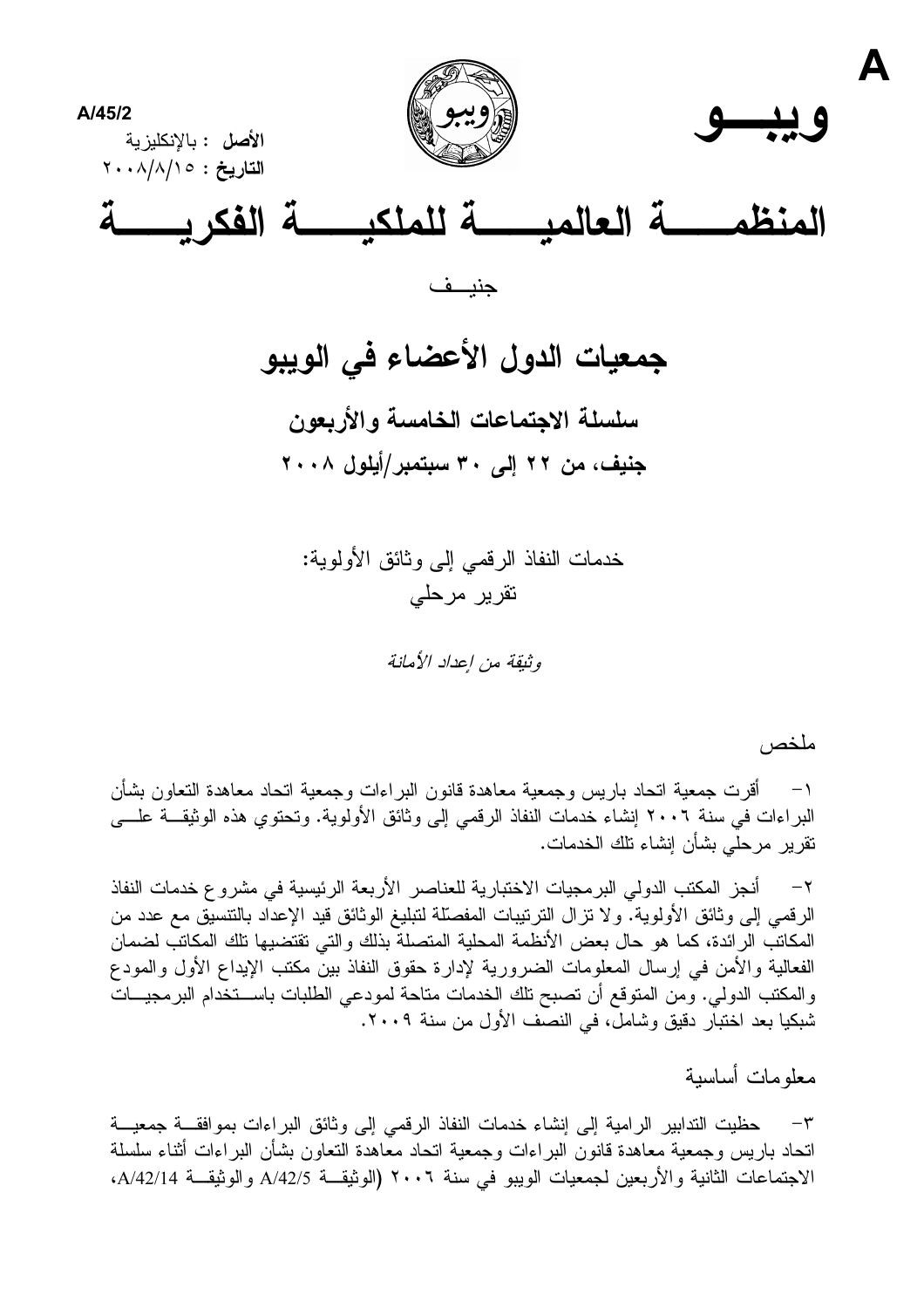

جمعيات الدول الأعضاء في الويبو سلسلة الاجتماعات الخامسة والأربعون جنيف، من ٢٢ إلى ٣٠ سبتمبر/أيلول ٢٠٠٨

> خدمات النفاذ الرقمي إلى وثائق الأولوية: تقریر مرحلے

> > وثيقة من إعداد الأمانة

ملخص

أقرت جمعية اتحاد باريس وجمعية معاهدة قانون البراءات وجمعية اتحاد معاهدة النعاون بشأن  $-1$ البراءات في سنة ٢٠٠٦ إنشاء خدمات النفاذ الرقمي إلى وثائق الأولوية. وتحتوي هذه الوثيقــة علـــي نقرير مرحلَّى بشأن إنشاء تلك الخدمات.

أنجز المكتب الدولي البرمجيات الاختبارية للعناصر الأربعة الرئيسية في مشروع خدمات النفاذ  $-7$ الرقمي إلى وثائق الأولوية. ولا نزال النرنيبات المفصّلة لتبليغ الوثائق قيد الإعداد بالنتسيّق مع عدد من المكاتب الرائدة، كما هو حال بعض الأنظمة المحلية المتصلة بذلك والتي تقتضبها تلك المكاتب لضمان الفعالية والأمن في إرسال المعلومات الضرورية لإدارة حقوق النفاذ بين مكتب الإيداع الأول والمودع والمكتب الدولي. ومن المتوقع أن تصبح تلك الخدمات متاحة لمودعي الطلبات باســـتخدام البرمجيـــات شبكيا بعد اختبار دقيق وشامل، في النصف الأول من سنة ٢٠٠٩.

معلومات أساسبة

حظيت التدابير الرامية إلى إنشاء خدمات النفاذ الرقمي إلى وثائق البراءات بموافقـــة جمعيـــة  $-\tau$ اتحاد باريس وجمعية معاهدة قانون البر اءات وجمعية اتحاد معاهدة التعاون بشأن البر اءات أثناء سلسلة الاجتماعات الثانية والأربعين لجمعيات الويبو في سنة ٢٠٠٦ (الوثيقـــة A/42/5 والوثيقــة A/42/14،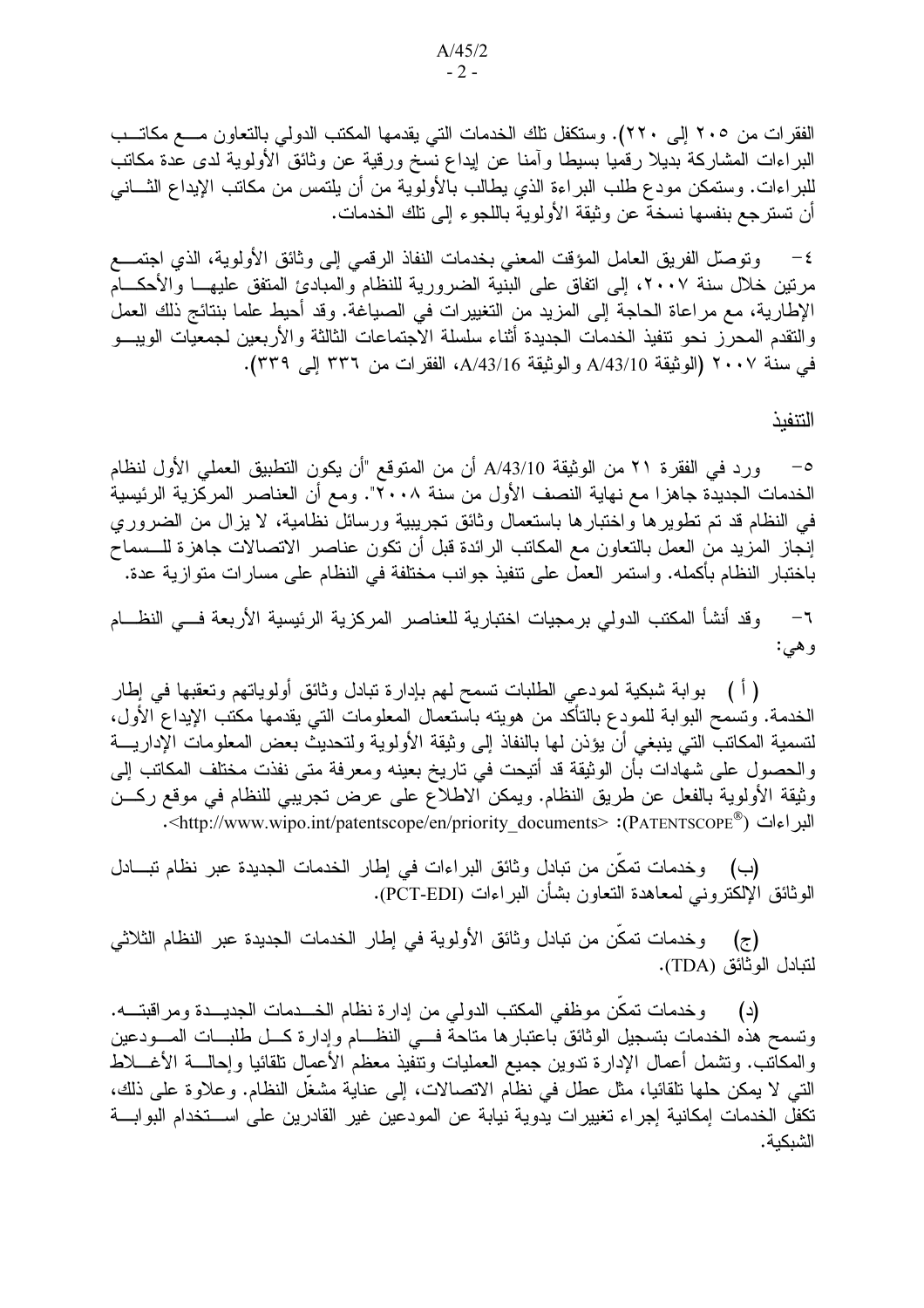الفقرات من ٢٠٥ إلى ٢٢٠). وستكفل تلك الخدمات التي يقدمها المكتب الدولي بالتعاون مـــع مكاتـــب البراءات المشاركة بديلا رقميا بسيطا وأمنا عن إيداع نسخ ورقية عن وثائق الأولوية لدى عدة مكاتب للبراءات. وستمكن مودع طلب البراءة الذي يطالب بالأولوية من أن يلتمس من مكاتب الإيداع الثـــانـي أن تسترجع بنفسها نسخة عن وثيقة الأولوية باللجوء إلى تلك الخدمات.

ونوصلُّ الفريق العامل المؤقت المعنى بخدمات النفاذ الرقمي إلى وثائق الأولوية، الذي اجتمـــع  $-\epsilon$ مرنين خلال سنة ٢٠٠٧، إلى اتفاق على البنية الضرورية للنظام والمبادئ المتفق عليهـــا والأحكـــام الإطارية، مع مراعاة الحاجة إلى المزيد من التغييرات في الصياغة. وقد أحيط علما بنتائج ذلك العمل والتقدم المحرز نحو نتفيذ الخدمات الجديدة أثناء سلسلة الاجتماعات الثالثة والأربعين لجمعيات الويبسو في سنة ٢٠٠٧ (الوثيقة A/43/10 و الوثيقة A/43/16، الفقر ات من ٣٣٦ إلى ٣٣٩).

التنفبذ

ورد في الفقرة ٢١ من الوثيقة A/43/10 أن من المتوقع "أن يكون التطبيق العملي الأول لنظام  $-\circ$ الخدمات الجديدة جاهزا مع نهاية النصف الأول من سنة ٢٠٠٨". ومع أن العناصر المركزية الرئيسية في النظام قد تم نطويرها واختبارها باستعمال وثائق تجريبية ورسائل نظامية، لا يزال من الضروري إنجاز المزيد من العمل بالنعاون مع المكانب الرائدة قبل أن نكون عناصر الاتصالات جاهزة للـــسماح باختبار النظام بأكمله. واستمر العمل على تنفيذ جوانب مختلفة في النظام على مسارات متوازية عدة.

وقد أنشأ المكتب الدولي برمجيات اختبارية للعناصر المركزية الرئيسية الأربعة فسى النظسام  $-7$ وهي:

( أ ) بوابة شبكية لمودعي الطلبات تسمح لهم بإدارة تبادل وثائق أولوياتهم وتعقبها في إطار الخدمة. ونسمح البوابة للمودع بالتأكد من هويته باستعمال المعلومات التبي يقدمها مكتب الإيداع الأول، لتسمية المكانب التي ينبغي أن يؤذن لمها بالنفاذ إلى وثيقة الأولوية ولتحديث بعض المعلومات الإداريــــة والحصول على شهادات بأن الوثيقة قد أتيحت في تاريخ بعينه ومعرفة متى نفذت مختلف المكاتب إلى وثيقة الأولوية بالفعل عن طريق النظام. ويمكن الاطلاع على عرض نجريبي للنظام في موقع ركـــن النور اءات ("@PATENTSCOPE): </http://www.wipo.int/patentscope/en/priority\_documents>.

(ب) وخدمات تمكن من تبادل وثائق البراءات في إطار الخدمات الجديدة عبر نظام تبــادل الوثائق الإلكترونـي لمعاهدة النعاون بشأن البراءات (PCT-EDI).

(ج) وخدمات نمكّن من تبادل وثائق الأولوية في إطار الخدمات الجديدة عبر النظام الثلاثي لتبادل الوثائق (TDA).

(د) وخدمات تمكن موظفى المكتب الدولمي من إدارة نظام الخـــدمات الجديـــدة ومراقبتــــه. ونسمح هذه الخدمات بتسجيل الوثائق باعتبارها متاحة فسي النظــام وإدارة كـــل طلبـــات المــــودعين والمكانب. ونتثمل أعمال الإدارة ندوين جميع العمليات ونتفيذ معظم الأعمال نلقائيا وإحالــــة الأغــــلاط التبي لا يمكن حلَّها تلقائياً، مثل عطل في نظام الاتصالات، إلى عناية مشغل النظام. وعلاوة على ذلك، تكفل الخدمات إمكانية إجراء تغييرات يدوية نيابة عن المودعين غير القادرين على اســـتخدام البوابــــة الشبكية.